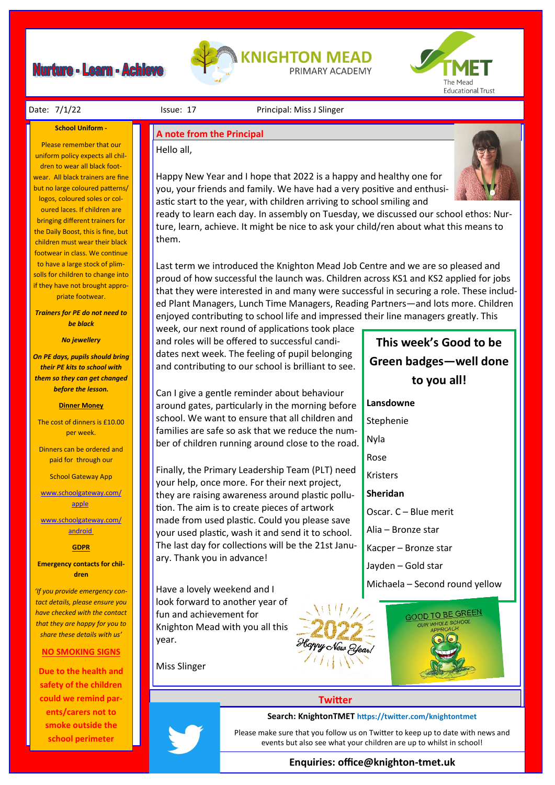## **Nurture - Learn - Achieve**





Date:  $7/1/22$  Issue: 17 Principal: Miss J Slinger

#### **School Uniform -**

Please remember that our uniform policy expects all children to wear all black footwear. All black trainers are fine but no large coloured patterns/ logos, coloured soles or coloured laces. If children are bringing different trainers for the Daily Boost, this is fine, but children must wear their black footwear in class. We continue to have a large stock of plimsolls for children to change into if they have not brought appropriate footwear.

*Trainers for PE do not need to be black*

*No jewellery* 

*On PE days, pupils should bring their PE kits to school with them so they can get changed before the lesson.*

#### **Dinner Money**

The cost of dinners is £10.00 per week.

Dinners can be ordered and paid for through our

School Gateway App

[www.schoolgateway.com/](http://www.schoolgateway.com/apple) [apple](http://www.schoolgateway.com/apple)

[www.schoolgateway.com/](http://www.schoolgateway.com/android) [android](http://www.schoolgateway.com/android)

#### **GDPR**

**Emergency contacts for children**

*'If you provide emergency contact details, please ensure you have checked with the contact that they are happy for you to share these details with us'*

#### **NO SMOKING SIGNS**

**Due to the health and safety of the children could we remind parents/carers not to smoke outside the school perimeter** 

#### **A note from the Principal**

Hello all,

Happy New Year and I hope that 2022 is a happy and healthy one for you, your friends and family. We have had a very positive and enthusiastic start to the year, with children arriving to school smiling and



ready to learn each day. In assembly on Tuesday, we discussed our school ethos: Nurture, learn, achieve. It might be nice to ask your child/ren about what this means to them.

Last term we introduced the Knighton Mead Job Centre and we are so pleased and proud of how successful the launch was. Children across KS1 and KS2 applied for jobs that they were interested in and many were successful in securing a role. These included Plant Managers, Lunch Time Managers, Reading Partners—and lots more. Children enjoyed contributing to school life and impressed their line managers greatly. This

week, our next round of applications took place and roles will be offered to successful candidates next week. The feeling of pupil belonging and contributing to our school is brilliant to see.

Can I give a gentle reminder about behaviour around gates, particularly in the morning before school. We want to ensure that all children and families are safe so ask that we reduce the number of children running around close to the road.

Finally, the Primary Leadership Team (PLT) need your help, once more. For their next project, they are raising awareness around plastic pollution. The aim is to create pieces of artwork made from used plastic. Could you please save your used plastic, wash it and send it to school. The last day for collections will be the 21st January. Thank you in advance!

Have a lovely weekend and I look forward to another year of fun and achievement for Knighton Mead with you all this year.

Miss Slinger

**This week's Good to be Green badges—well done to you all!**

**Lansdowne** Stephenie Nyla Rose Kristers **Sheridan** Oscar. C – Blue merit Alia – Bronze star Kacper – Bronze star Jayden – Gold star Michaela – Second round yellow





### **Twitter**

**Search: KnightonTMET https://twitter.com/knightontmet**

Please make sure that you follow us on Twitter to keep up to date with news and events but also see what your children are up to whilst in school!

### **Enquiries: office@knighton-tmet.uk**